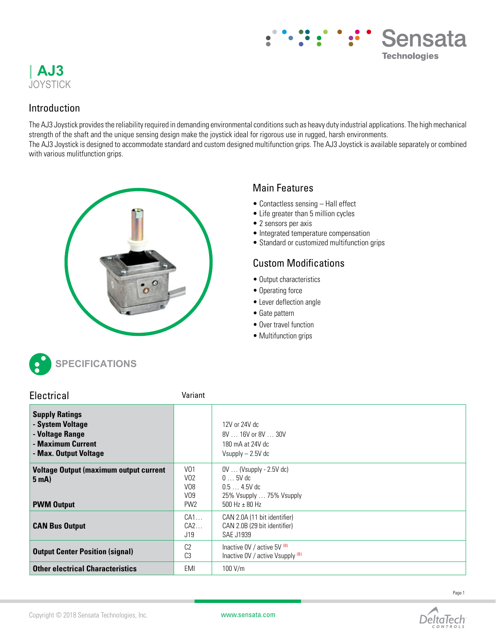

# Sensata **Technologies**

### Introduction

The AJ3 Joystick provides the reliability required in demanding environmental conditions such as heavy duty industrial applications. The high mechanical strength of the shaft and the unique sensing design make the joystick ideal for rigorous use in rugged, harsh environments. The AJ3 Joystick is designed to accommodate standard and custom designed multifunction grips. The AJ3 Joystick is available separately or combined with various mulitfunction grips.



# Main Features

- Contactless sensing Hall effect
- Life greater than 5 million cycles
- 2 sensors per axis
- Integrated temperature compensation
- Standard or customized multifunction grips

# Custom Modifications

- Output characteristics
- Operating force
- Lever deflection angle
- Gate pattern
- Over travel function
- Multifunction grips



| Electrical                                                                                                 | Variant                                                                                      |                                                                                                                  |
|------------------------------------------------------------------------------------------------------------|----------------------------------------------------------------------------------------------|------------------------------------------------------------------------------------------------------------------|
| <b>Supply Ratings</b><br>- System Voltage<br>- Voltage Range<br>- Maximum Current<br>- Max. Output Voltage |                                                                                              | 12V or 24V dc<br>8V  16V or 8V  30V<br>180 mA at 24V dc<br>Vsupply $- 2.5V$ dc                                   |
| <b>Voltage Output (maximum output current</b><br>5 <sub>m</sub> A<br><b>PWM Output</b>                     | V <sub>01</sub><br>V <sub>0</sub> 2<br>V <sub>08</sub><br>V <sub>09</sub><br>PW <sub>2</sub> | $0V$ (Vsupply - 2.5V dc)<br>$0 \ldots 5V$ dc<br>$0.54.5V$ dc<br>25% Vsupply  75% Vsupply<br>$500$ Hz $\pm$ 80 Hz |
| <b>CAN Bus Output</b>                                                                                      | CA1<br>CA2<br>J19                                                                            | CAN 2.0A (11 bit identifier)<br>CAN 2.0B (29 bit identifier)<br>SAE J1939                                        |
| <b>Output Center Position (signal)</b>                                                                     | C <sub>2</sub><br>C <sub>3</sub>                                                             | Inactive $0V/$ active $5V$ $(B)$<br>Inactive OV / active $V$ supply $(B)$                                        |
| <b>Other electrical Characteristics</b>                                                                    | EMI                                                                                          | 100 V/m                                                                                                          |



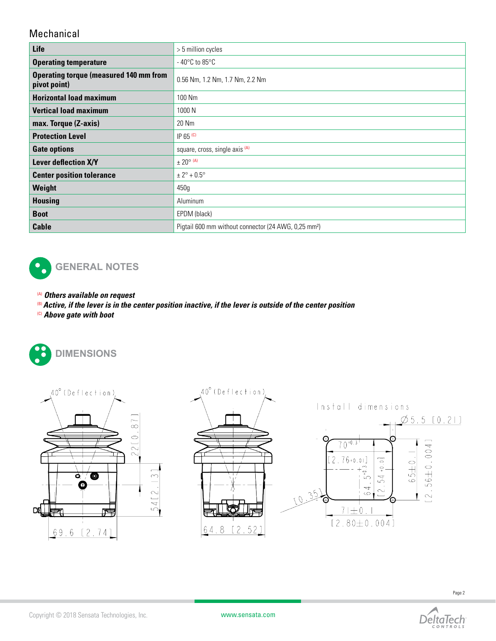### Mechanical

| Life                                                          | > 5 million cycles                                               |  |  |  |
|---------------------------------------------------------------|------------------------------------------------------------------|--|--|--|
| <b>Operating temperature</b>                                  | $-40^{\circ}$ C to 85 $^{\circ}$ C                               |  |  |  |
| <b>Operating torque (measured 140 mm from</b><br>pivot point) | 0.56 Nm, 1.2 Nm, 1.7 Nm, 2.2 Nm                                  |  |  |  |
| <b>Horizontal load maximum</b>                                | 100 Nm                                                           |  |  |  |
| <b>Vertical load maximum</b>                                  | 1000 N                                                           |  |  |  |
| max. Torque (Z-axis)                                          | 20 Nm                                                            |  |  |  |
| <b>Protection Level</b>                                       | IP $65$ (c)                                                      |  |  |  |
| <b>Gate options</b>                                           | square, cross, single axis (A)                                   |  |  |  |
| Lever deflection X/Y                                          | $\pm$ 20 <sup>o</sup> (A)                                        |  |  |  |
| <b>Center position tolerance</b>                              | $± 2° + 0.5°$                                                    |  |  |  |
| Weight                                                        | 450g                                                             |  |  |  |
| <b>Housing</b>                                                | Aluminum                                                         |  |  |  |
| <b>Boot</b>                                                   | EPDM (black)                                                     |  |  |  |
| <b>Cable</b>                                                  | Pigtail 600 mm without connector (24 AWG, 0,25 mm <sup>2</sup> ) |  |  |  |



- (A) *Others available on request*
- (B)*Active, if the lever is in the center position inactive, if the lever is outside of the center position*
- (C) *Above gate with boot*







Install dimensions  $\emptyset$  5.5 [0.21] C  $56 \pm 0.004$ ]  $\theta$  $76+0.01$ 2  $\overline{\circ}$  $65 + 0$  $\frac{1}{2}$  $5^{+0.3}$ 54  $\overline{\phantom{0}}$  $35$  $\sim$  $\ddot{\circ}$  $\sim$  $\bigcap$ ັດ  $71 \pm 0.1$  $[2.80 \pm 0.004]$ 

DeltaTech

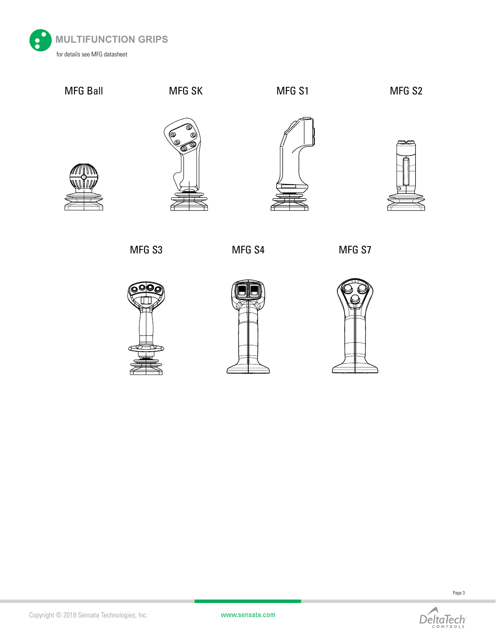





Page 3